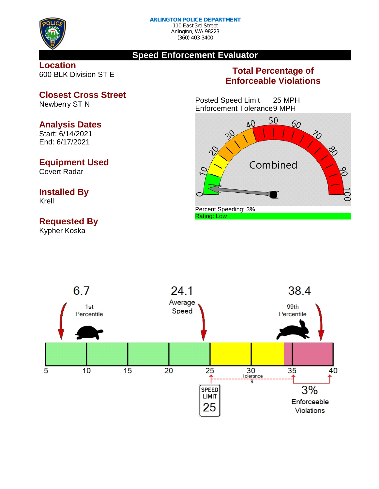

#### **Speed Enforcement Evaluator**

#### **Location** 600 BLK Division ST E

### **Total Percentage of Enforceable Violations**

Posted Speed Limit 25 MPH Enforcement Tolerance9 MPH





**Closest Cross Street** Newberry ST N

#### **Analysis Dates**

Start: 6/14/2021 End: 6/17/2021

#### **Equipment Used**

Covert Radar

# **Installed By**

Krell

## **Requested By**

Kypher Koska